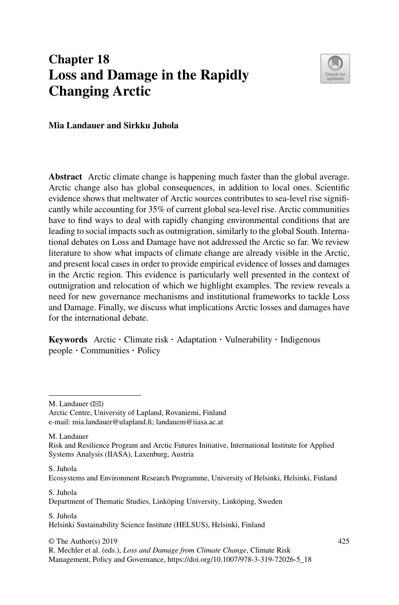# **Chapter 18 Loss and Damage in the Rapidly Changing Arctic**



**Mia Landauer and Sirkku Juhola**

**Abstract** Arctic climate change is happening much faster than the global average. Arctic change also has global consequences, in addition to local ones. Scientific evidence shows that meltwater of Arctic sources contributes to sea-level rise significantly while accounting for 35% of current global sea-level rise. Arctic communities have to find ways to deal with rapidly changing environmental conditions that are leading to social impacts such as outmigration, similarly to the global South. International debates on Loss and Damage have not addressed the Arctic so far. We review literature to show what impacts of climate change are already visible in the Arctic, and present local cases in order to provide empirical evidence of losses and damages in the Arctic region. This evidence is particularly well presented in the context of outmigration and relocation of which we highlight examples. The review reveals a need for new governance mechanisms and institutional frameworks to tackle Loss and Damage. Finally, we discuss what implications Arctic losses and damages have for the international debate.

**Keywords** Arctic · Climate risk · Adaptation · Vulnerability · Indigenous people · Communities · Policy

M. Landauer  $(\boxtimes)$ 

M. Landauer Risk and Resilience Program and Arctic Futures Initiative, International Institute for Applied Systems Analysis (IIASA), Laxenburg, Austria

S. Juhola

Ecosystems and Environment Research Programme, University of Helsinki, Helsinki, Finland

S. Juhola Department of Thematic Studies, Linköping University, Linköping, Sweden

S. Juhola Helsinki Sustainability Science Institute (HELSUS), Helsinki, Finland

© The Author(s) 2019 R. Mechler et al. (eds.), *Loss and Damage from Climate Change*, Climate Risk Management, Policy and Governance, https://doi.org/10.1007/978-3-319-72026-5\_18

Arctic Centre, University of Lapland, Rovaniemi, Finland e-mail: mia.landauer@ulapland.fi; landauem@iiasa.ac.at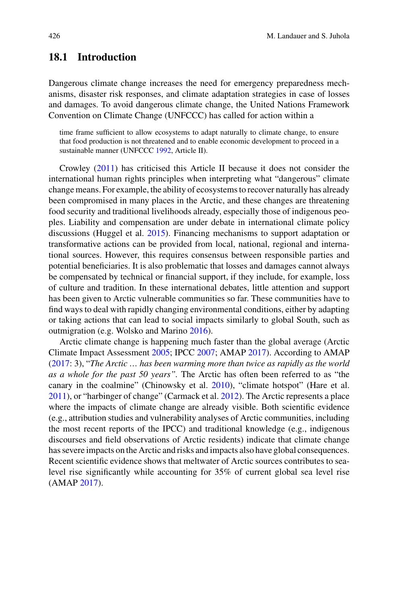### **18.1 Introduction**

Dangerous climate change increases the need for emergency preparedness mechanisms, disaster risk responses, and climate adaptation strategies in case of losses and damages. To avoid dangerous climate change, the United Nations Framework Convention on Climate Change (UNFCCC) has called for action within a

time frame sufficient to allow ecosystems to adapt naturally to climate change, to ensure that food production is not threatened and to enable economic development to proceed in a sustainable manner (UNFCCC [1992,](#page-22-0) Article II).

Crowley [\(2011\)](#page-20-0) has criticised this Article II because it does not consider the international human rights principles when interpreting what "dangerous" climate change means. For example, the ability of ecosystems to recover naturally has already been compromised in many places in the Arctic, and these changes are threatening food security and traditional livelihoods already, especially those of indigenous peoples. Liability and compensation are under debate in international climate policy discussions (Huggel et al. [2015\)](#page-20-1). Financing mechanisms to support adaptation or transformative actions can be provided from local, national, regional and international sources. However, this requires consensus between responsible parties and potential beneficiaries. It is also problematic that losses and damages cannot always be compensated by technical or financial support, if they include, for example, loss of culture and tradition. In these international debates, little attention and support has been given to Arctic vulnerable communities so far. These communities have to find ways to deal with rapidly changing environmental conditions, either by adapting or taking actions that can lead to social impacts similarly to global South, such as outmigration (e.g. Wolsko and Marino [2016\)](#page-22-1).

Arctic climate change is happening much faster than the global average (Arctic Climate Impact Assessment [2005;](#page-19-0) IPCC [2007;](#page-20-2) AMAP [2017\)](#page-19-1). According to AMAP [\(2017:](#page-19-1) 3), "*The Arctic … has been warming more than twice as rapidly as the world as a whole for the past 50 years".* The Arctic has often been referred to as "the canary in the coalmine" (Chinowsky et al. [2010\)](#page-19-2), "climate hotspot" (Hare et al. [2011\)](#page-20-3), or "harbinger of change" (Carmack et al. [2012\)](#page-19-3). The Arctic represents a place where the impacts of climate change are already visible. Both scientific evidence (e.g., attribution studies and vulnerability analyses of Arctic communities, including the most recent reports of the IPCC) and traditional knowledge (e.g., indigenous discourses and field observations of Arctic residents) indicate that climate change has severe impacts on the Arctic and risks and impacts also have global consequences. Recent scientific evidence shows that meltwater of Arctic sources contributes to sealevel rise significantly while accounting for 35% of current global sea level rise (AMAP [2017\)](#page-19-1).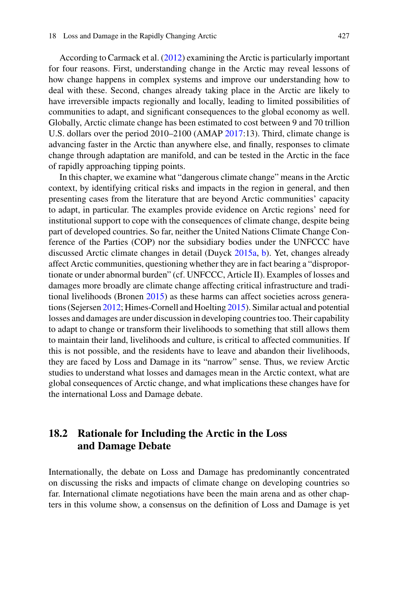According to Carmack et al. [\(2012\)](#page-19-3) examining the Arctic is particularly important for four reasons. First, understanding change in the Arctic may reveal lessons of how change happens in complex systems and improve our understanding how to deal with these. Second, changes already taking place in the Arctic are likely to have irreversible impacts regionally and locally, leading to limited possibilities of communities to adapt, and significant consequences to the global economy as well. Globally, Arctic climate change has been estimated to cost between 9 and 70 trillion U.S. dollars over the period 2010–2100 (AMAP [2017:](#page-19-1)13). Third, climate change is advancing faster in the Arctic than anywhere else, and finally, responses to climate change through adaptation are manifold, and can be tested in the Arctic in the face of rapidly approaching tipping points.

In this chapter, we examine what "dangerous climate change" means in the Arctic context, by identifying critical risks and impacts in the region in general, and then presenting cases from the literature that are beyond Arctic communities' capacity to adapt, in particular. The examples provide evidence on Arctic regions' need for institutional support to cope with the consequences of climate change, despite being part of developed countries. So far, neither the United Nations Climate Change Conference of the Parties (COP) nor the subsidiary bodies under the UNFCCC have discussed Arctic climate changes in detail (Duyck [2015a,](#page-20-4) [b\)](#page-20-5). Yet, changes already affect Arctic communities, questioning whether they are in fact bearing a "disproportionate or under abnormal burden" (cf. UNFCCC, Article II). Examples of losses and damages more broadly are climate change affecting critical infrastructure and traditional livelihoods (Bronen [2015\)](#page-19-4) as these harms can affect societies across generations (Sejersen [2012;](#page-21-0) Himes-Cornell and Hoelting [2015\)](#page-20-6). Similar actual and potential losses and damages are under discussion in developing countries too. Their capability to adapt to change or transform their livelihoods to something that still allows them to maintain their land, livelihoods and culture, is critical to affected communities. If this is not possible, and the residents have to leave and abandon their livelihoods, they are faced by Loss and Damage in its "narrow" sense. Thus, we review Arctic studies to understand what losses and damages mean in the Arctic context, what are global consequences of Arctic change, and what implications these changes have for the international Loss and Damage debate.

# **18.2 Rationale for Including the Arctic in the Loss and Damage Debate**

Internationally, the debate on Loss and Damage has predominantly concentrated on discussing the risks and impacts of climate change on developing countries so far. International climate negotiations have been the main arena and as other chapters in this volume show, a consensus on the definition of Loss and Damage is yet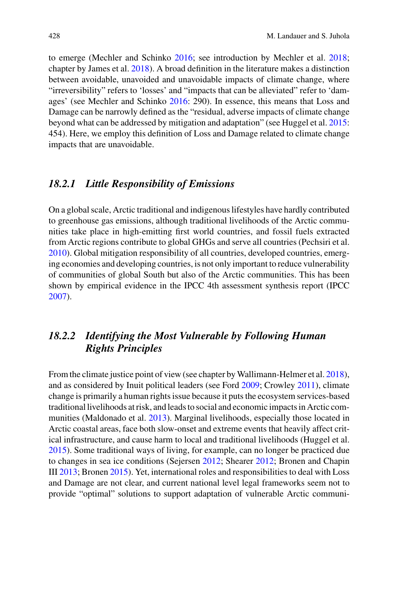to emerge (Mechler and Schinko [2016;](#page-21-1) see introduction by Mechler et al. [2018;](#page-21-2) chapter by James et al. [2018\)](#page-20-7). A broad definition in the literature makes a distinction between avoidable, unavoided and unavoidable impacts of climate change, where "irreversibility" refers to 'losses' and "impacts that can be alleviated" refer to 'damages' (see Mechler and Schinko [2016:](#page-21-1) 290). In essence, this means that Loss and Damage can be narrowly defined as the "residual, adverse impacts of climate change beyond what can be addressed by mitigation and adaptation" (see Huggel et al. [2015:](#page-20-1) 454). Here, we employ this definition of Loss and Damage related to climate change impacts that are unavoidable.

### *18.2.1 Little Responsibility of Emissions*

On a global scale, Arctic traditional and indigenous lifestyles have hardly contributed to greenhouse gas emissions, although traditional livelihoods of the Arctic communities take place in high-emitting first world countries, and fossil fuels extracted from Arctic regions contribute to global GHGs and serve all countries (Pechsiri et al. [2010\)](#page-21-3). Global mitigation responsibility of all countries, developed countries, emerging economies and developing countries, is not only important to reduce vulnerability of communities of global South but also of the Arctic communities. This has been shown by empirical evidence in the IPCC 4th assessment synthesis report (IPCC [2007\)](#page-20-2).

# *18.2.2 Identifying the Most Vulnerable by Following Human Rights Principles*

From the climate justice point of view (see chapter by Wallimann-Helmer et al. [2018\)](#page-22-2), and as considered by Inuit political leaders (see Ford [2009;](#page-20-8) Crowley [2011\)](#page-20-0), climate change is primarily a human rights issue because it puts the ecosystem services-based traditional livelihoods at risk, and leads to social and economic impacts in Arctic communities (Maldonado et al. [2013\)](#page-21-4). Marginal livelihoods, especially those located in Arctic coastal areas, face both slow-onset and extreme events that heavily affect critical infrastructure, and cause harm to local and traditional livelihoods (Huggel et al. [2015\)](#page-20-1). Some traditional ways of living, for example, can no longer be practiced due to changes in sea ice conditions (Sejersen [2012;](#page-21-0) Shearer [2012;](#page-22-3) Bronen and Chapin III [2013;](#page-19-5) Bronen [2015\)](#page-19-4). Yet, international roles and responsibilities to deal with Loss and Damage are not clear, and current national level legal frameworks seem not to provide "optimal" solutions to support adaptation of vulnerable Arctic communi-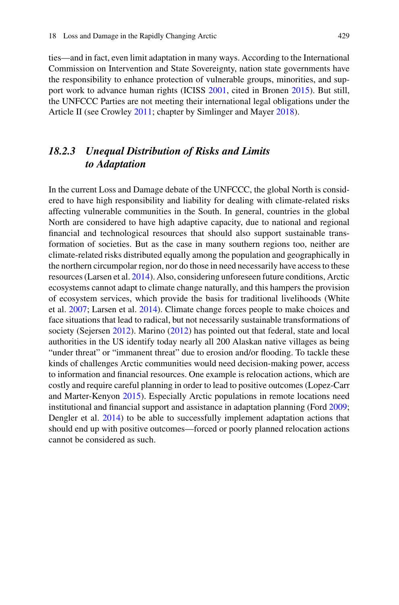ties—and in fact, even limit adaptation in many ways. According to the International Commission on Intervention and State Sovereignty, nation state governments have the responsibility to enhance protection of vulnerable groups, minorities, and support work to advance human rights (ICISS [2001,](#page-20-9) cited in Bronen [2015\)](#page-19-4). But still, the UNFCCC Parties are not meeting their international legal obligations under the Article II (see Crowley [2011;](#page-20-0) chapter by Simlinger and Mayer [2018\)](#page-22-4).

# *18.2.3 Unequal Distribution of Risks and Limits to Adaptation*

In the current Loss and Damage debate of the UNFCCC, the global North is considered to have high responsibility and liability for dealing with climate-related risks affecting vulnerable communities in the South. In general, countries in the global North are considered to have high adaptive capacity, due to national and regional financial and technological resources that should also support sustainable transformation of societies. But as the case in many southern regions too, neither are climate-related risks distributed equally among the population and geographically in the northern circumpolar region, nor do those in need necessarily have access to these resources (Larsen et al. [2014\)](#page-21-5). Also, considering unforeseen future conditions, Arctic ecosystems cannot adapt to climate change naturally, and this hampers the provision of ecosystem services, which provide the basis for traditional livelihoods (White et al. [2007;](#page-22-5) Larsen et al. [2014\)](#page-21-5). Climate change forces people to make choices and face situations that lead to radical, but not necessarily sustainable transformations of society (Sejersen [2012\)](#page-21-0). Marino [\(2012\)](#page-21-6) has pointed out that federal, state and local authorities in the US identify today nearly all 200 Alaskan native villages as being "under threat" or "immanent threat" due to erosion and/or flooding. To tackle these kinds of challenges Arctic communities would need decision-making power, access to information and financial resources. One example is relocation actions, which are costly and require careful planning in order to lead to positive outcomes (Lopez-Carr and Marter-Kenyon [2015\)](#page-21-7). Especially Arctic populations in remote locations need institutional and financial support and assistance in adaptation planning (Ford [2009;](#page-20-8) Dengler et al. [2014\)](#page-20-10) to be able to successfully implement adaptation actions that should end up with positive outcomes—forced or poorly planned relocation actions cannot be considered as such.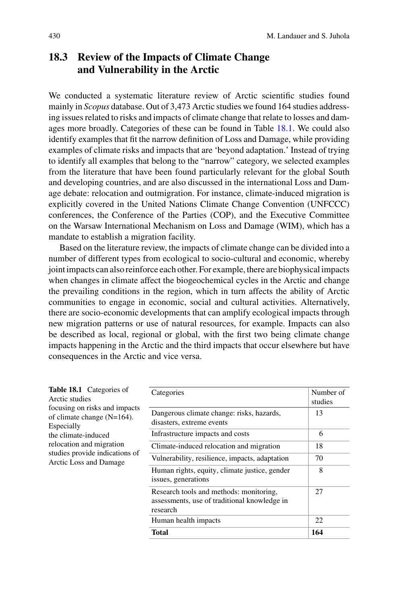# **18.3 Review of the Impacts of Climate Change and Vulnerability in the Arctic**

We conducted a systematic literature review of Arctic scientific studies found mainly in *Scopus* database. Out of 3,473 Arctic studies we found 164 studies addressing issues related to risks and impacts of climate change that relate to losses and damages more broadly. Categories of these can be found in Table [18.1.](#page-5-0) We could also identify examples that fit the narrow definition of Loss and Damage, while providing examples of climate risks and impacts that are 'beyond adaptation.' Instead of trying to identify all examples that belong to the "narrow" category, we selected examples from the literature that have been found particularly relevant for the global South and developing countries, and are also discussed in the international Loss and Damage debate: relocation and outmigration. For instance, climate-induced migration is explicitly covered in the United Nations Climate Change Convention (UNFCCC) conferences, the Conference of the Parties (COP), and the Executive Committee on the Warsaw International Mechanism on Loss and Damage (WIM), which has a mandate to establish a migration facility.

Based on the literature review, the impacts of climate change can be divided into a number of different types from ecological to socio-cultural and economic, whereby joint impacts can also reinforce each other. For example, there are biophysical impacts when changes in climate affect the biogeochemical cycles in the Arctic and change the prevailing conditions in the region, which in turn affects the ability of Arctic communities to engage in economic, social and cultural activities. Alternatively, there are socio-economic developments that can amplify ecological impacts through new migration patterns or use of natural resources, for example. Impacts can also be described as local, regional or global, with the first two being climate change impacts happening in the Arctic and the third impacts that occur elsewhere but have consequences in the Arctic and vice versa.

<span id="page-5-0"></span>

| <b>Table 18.1</b> Categories of<br>Arctic studies<br>focusing on risks and impacts<br>of climate change $(N=164)$ .<br>Especially<br>the climate-induced<br>relocation and migration<br>studies provide indications of<br>Arctic Loss and Damage | Categories                                                                                          | Number of<br>studies |
|--------------------------------------------------------------------------------------------------------------------------------------------------------------------------------------------------------------------------------------------------|-----------------------------------------------------------------------------------------------------|----------------------|
|                                                                                                                                                                                                                                                  | Dangerous climate change: risks, hazards,<br>disasters, extreme events                              | 13                   |
|                                                                                                                                                                                                                                                  | Infrastructure impacts and costs                                                                    | 6                    |
|                                                                                                                                                                                                                                                  | Climate-induced relocation and migration                                                            | 18                   |
|                                                                                                                                                                                                                                                  | Vulnerability, resilience, impacts, adaptation                                                      | 70                   |
|                                                                                                                                                                                                                                                  | Human rights, equity, climate justice, gender<br>issues, generations                                | 8                    |
|                                                                                                                                                                                                                                                  | Research tools and methods: monitoring,<br>assessments, use of traditional knowledge in<br>research | 27                   |
|                                                                                                                                                                                                                                                  | Human health impacts                                                                                | 22                   |
|                                                                                                                                                                                                                                                  | Total                                                                                               | 164                  |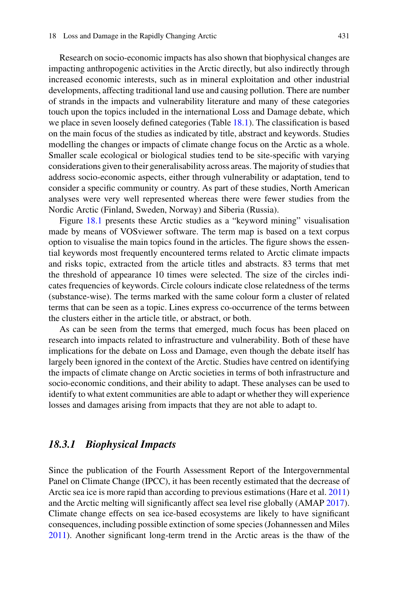Research on socio-economic impacts has also shown that biophysical changes are impacting anthropogenic activities in the Arctic directly, but also indirectly through increased economic interests, such as in mineral exploitation and other industrial developments, affecting traditional land use and causing pollution. There are number of strands in the impacts and vulnerability literature and many of these categories touch upon the topics included in the international Loss and Damage debate, which we place in seven loosely defined categories (Table [18.1\)](#page-5-0). The classification is based on the main focus of the studies as indicated by title, abstract and keywords. Studies modelling the changes or impacts of climate change focus on the Arctic as a whole. Smaller scale ecological or biological studies tend to be site-specific with varying considerations given to their generalisability across areas. The majority of studies that address socio-economic aspects, either through vulnerability or adaptation, tend to consider a specific community or country. As part of these studies, North American analyses were very well represented whereas there were fewer studies from the Nordic Arctic (Finland, Sweden, Norway) and Siberia (Russia).

Figure [18.1](#page-7-0) presents these Arctic studies as a "keyword mining" visualisation made by means of VOSviewer software. The term map is based on a text corpus option to visualise the main topics found in the articles. The figure shows the essential keywords most frequently encountered terms related to Arctic climate impacts and risks topic, extracted from the article titles and abstracts. 83 terms that met the threshold of appearance 10 times were selected. The size of the circles indicates frequencies of keywords. Circle colours indicate close relatedness of the terms (substance-wise). The terms marked with the same colour form a cluster of related terms that can be seen as a topic. Lines express co-occurrence of the terms between the clusters either in the article title, or abstract, or both.

As can be seen from the terms that emerged, much focus has been placed on research into impacts related to infrastructure and vulnerability. Both of these have implications for the debate on Loss and Damage, even though the debate itself has largely been ignored in the context of the Arctic. Studies have centred on identifying the impacts of climate change on Arctic societies in terms of both infrastructure and socio-economic conditions, and their ability to adapt. These analyses can be used to identify to what extent communities are able to adapt or whether they will experience losses and damages arising from impacts that they are not able to adapt to.

#### *18.3.1 Biophysical Impacts*

Since the publication of the Fourth Assessment Report of the Intergovernmental Panel on Climate Change (IPCC), it has been recently estimated that the decrease of Arctic sea ice is more rapid than according to previous estimations (Hare et al. [2011\)](#page-20-3) and the Arctic melting will significantly affect sea level rise globally (AMAP [2017\)](#page-19-1). Climate change effects on sea ice-based ecosystems are likely to have significant consequences, including possible extinction of some species (Johannessen and Miles [2011\)](#page-21-8). Another significant long-term trend in the Arctic areas is the thaw of the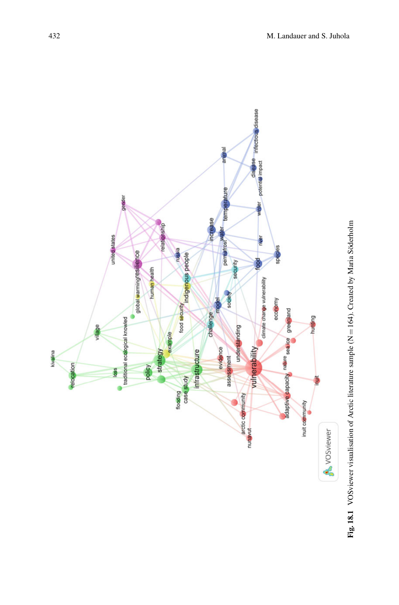

<span id="page-7-0"></span>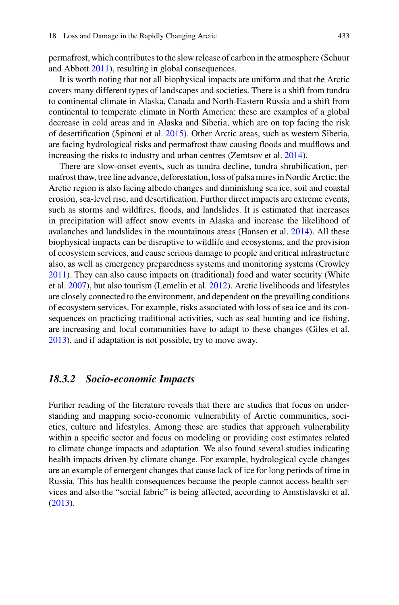permafrost, which contributes to the slow release of carbon in the atmosphere (Schuur and Abbott [2011\)](#page-21-9), resulting in global consequences.

It is worth noting that not all biophysical impacts are uniform and that the Arctic covers many different types of landscapes and societies. There is a shift from tundra to continental climate in Alaska, Canada and North-Eastern Russia and a shift from continental to temperate climate in North America: these are examples of a global decrease in cold areas and in Alaska and Siberia, which are on top facing the risk of desertification (Spinoni et al. [2015\)](#page-22-6). Other Arctic areas, such as western Siberia, are facing hydrological risks and permafrost thaw causing floods and mudflows and increasing the risks to industry and urban centres (Zemtsov et al. [2014\)](#page-22-7).

There are slow-onset events, such as tundra decline, tundra shrubification, permafrost thaw, tree line advance, deforestation, loss of palsa mires in Nordic Arctic; the Arctic region is also facing albedo changes and diminishing sea ice, soil and coastal erosion, sea-level rise, and desertification. Further direct impacts are extreme events, such as storms and wildfires, floods, and landslides. It is estimated that increases in precipitation will affect snow events in Alaska and increase the likelihood of avalanches and landslides in the mountainous areas (Hansen et al. [2014\)](#page-20-11). All these biophysical impacts can be disruptive to wildlife and ecosystems, and the provision of ecosystem services, and cause serious damage to people and critical infrastructure also, as well as emergency preparedness systems and monitoring systems (Crowley [2011\)](#page-20-0). They can also cause impacts on (traditional) food and water security (White et al. [2007\)](#page-22-5), but also tourism (Lemelin et al. [2012\)](#page-21-10). Arctic livelihoods and lifestyles are closely connected to the environment, and dependent on the prevailing conditions of ecosystem services. For example, risks associated with loss of sea ice and its consequences on practicing traditional activities, such as seal hunting and ice fishing, are increasing and local communities have to adapt to these changes (Giles et al. [2013\)](#page-20-12), and if adaptation is not possible, try to move away.

#### *18.3.2 Socio-economic Impacts*

Further reading of the literature reveals that there are studies that focus on understanding and mapping socio-economic vulnerability of Arctic communities, societies, culture and lifestyles. Among these are studies that approach vulnerability within a specific sector and focus on modeling or providing cost estimates related to climate change impacts and adaptation. We also found several studies indicating health impacts driven by climate change. For example, hydrological cycle changes are an example of emergent changes that cause lack of ice for long periods of time in Russia. This has health consequences because the people cannot access health services and also the "social fabric" is being affected, according to Amstislavski et al. [\(2013\)](#page-19-6).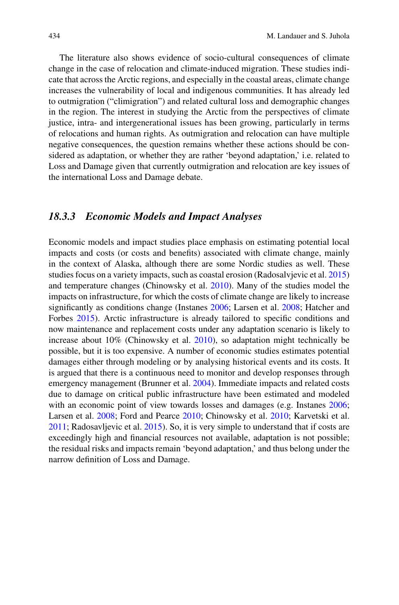The literature also shows evidence of socio-cultural consequences of climate change in the case of relocation and climate-induced migration. These studies indicate that across the Arctic regions, and especially in the coastal areas, climate change increases the vulnerability of local and indigenous communities. It has already led to outmigration ("climigration") and related cultural loss and demographic changes in the region. The interest in studying the Arctic from the perspectives of climate justice, intra- and intergenerational issues has been growing, particularly in terms of relocations and human rights. As outmigration and relocation can have multiple negative consequences, the question remains whether these actions should be considered as adaptation, or whether they are rather 'beyond adaptation,' i.e. related to Loss and Damage given that currently outmigration and relocation are key issues of the international Loss and Damage debate.

### *18.3.3 Economic Models and Impact Analyses*

Economic models and impact studies place emphasis on estimating potential local impacts and costs (or costs and benefits) associated with climate change, mainly in the context of Alaska, although there are some Nordic studies as well. These studies focus on a variety impacts, such as coastal erosion (Radosalvjevic et al. [2015\)](#page-21-11) and temperature changes (Chinowsky et al. [2010\)](#page-19-2). Many of the studies model the impacts on infrastructure, for which the costs of climate change are likely to increase significantly as conditions change (Instanes [2006;](#page-20-13) Larsen et al. [2008;](#page-21-12) Hatcher and Forbes [2015\)](#page-20-14). Arctic infrastructure is already tailored to specific conditions and now maintenance and replacement costs under any adaptation scenario is likely to increase about 10% (Chinowsky et al. [2010\)](#page-19-2), so adaptation might technically be possible, but it is too expensive. A number of economic studies estimates potential damages either through modeling or by analysing historical events and its costs. It is argued that there is a continuous need to monitor and develop responses through emergency management (Brunner et al. [2004\)](#page-19-7). Immediate impacts and related costs due to damage on critical public infrastructure have been estimated and modeled with an economic point of view towards losses and damages (e.g. Instanes [2006;](#page-20-13) Larsen et al. [2008;](#page-21-12) Ford and Pearce [2010;](#page-20-15) Chinowsky et al. [2010;](#page-19-2) Karvetski et al. [2011;](#page-21-13) Radosavljevic et al. [2015\)](#page-21-11). So, it is very simple to understand that if costs are exceedingly high and financial resources not available, adaptation is not possible; the residual risks and impacts remain 'beyond adaptation,' and thus belong under the narrow definition of Loss and Damage.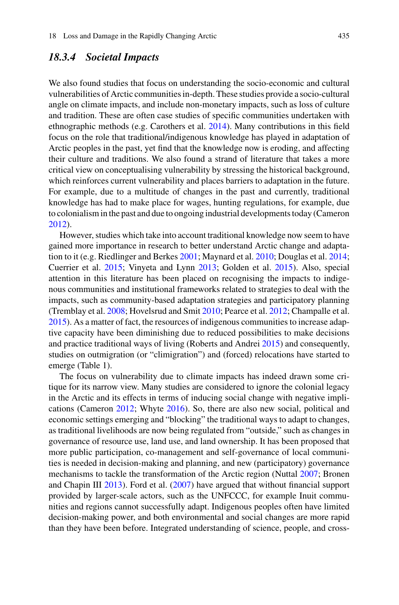### *18.3.4 Societal Impacts*

We also found studies that focus on understanding the socio-economic and cultural vulnerabilities of Arctic communities in-depth. These studies provide a socio-cultural angle on climate impacts, and include non-monetary impacts, such as loss of culture and tradition. These are often case studies of specific communities undertaken with ethnographic methods (e.g. Carothers et al. [2014\)](#page-19-8). Many contributions in this field focus on the role that traditional/indigenous knowledge has played in adaptation of Arctic peoples in the past, yet find that the knowledge now is eroding, and affecting their culture and traditions. We also found a strand of literature that takes a more critical view on conceptualising vulnerability by stressing the historical background, which reinforces current vulnerability and places barriers to adaptation in the future. For example, due to a multitude of changes in the past and currently, traditional knowledge has had to make place for wages, hunting regulations, for example, due to colonialism in the past and due to ongoing industrial developments today (Cameron [2012\)](#page-19-9).

However, studies which take into account traditional knowledge now seem to have gained more importance in research to better understand Arctic change and adaptation to it (e.g. Riedlinger and Berkes [2001;](#page-21-14) Maynard et al. [2010;](#page-21-15) Douglas et al. [2014;](#page-20-16) Cuerrier et al. [2015;](#page-20-17) Vinyeta and Lynn [2013;](#page-22-8) Golden et al. [2015\)](#page-20-18). Also, special attention in this literature has been placed on recognising the impacts to indigenous communities and institutional frameworks related to strategies to deal with the impacts, such as community-based adaptation strategies and participatory planning (Tremblay et al. [2008;](#page-22-9) Hovelsrud and Smit [2010;](#page-20-19) Pearce et al. [2012;](#page-21-16) Champalle et al. [2015\)](#page-19-10). As a matter of fact, the resources of indigenous communities to increase adaptive capacity have been diminishing due to reduced possibilities to make decisions and practice traditional ways of living (Roberts and Andrei [2015\)](#page-21-17) and consequently, studies on outmigration (or "climigration") and (forced) relocations have started to emerge (Table 1).

The focus on vulnerability due to climate impacts has indeed drawn some critique for its narrow view. Many studies are considered to ignore the colonial legacy in the Arctic and its effects in terms of inducing social change with negative implications (Cameron [2012;](#page-19-9) Whyte [2016\)](#page-22-10). So, there are also new social, political and economic settings emerging and "blocking" the traditional ways to adapt to changes, as traditional livelihoods are now being regulated from "outside," such as changes in governance of resource use, land use, and land ownership. It has been proposed that more public participation, co-management and self-governance of local communities is needed in decision-making and planning, and new (participatory) governance mechanisms to tackle the transformation of the Arctic region (Nuttal [2007;](#page-21-18) Bronen and Chapin III [2013\)](#page-19-5). Ford et al. [\(2007\)](#page-20-20) have argued that without financial support provided by larger-scale actors, such as the UNFCCC, for example Inuit communities and regions cannot successfully adapt. Indigenous peoples often have limited decision-making power, and both environmental and social changes are more rapid than they have been before. Integrated understanding of science, people, and cross-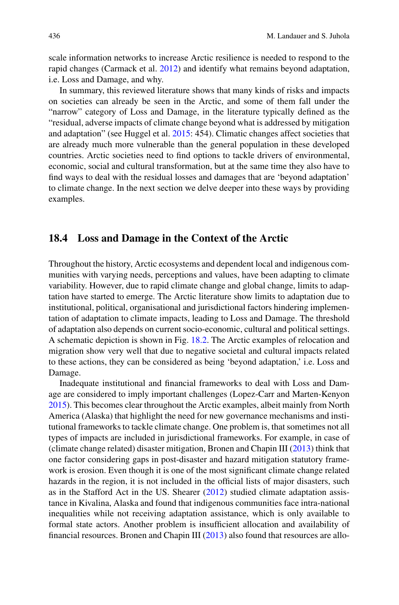scale information networks to increase Arctic resilience is needed to respond to the rapid changes (Carmack et al. [2012\)](#page-19-3) and identify what remains beyond adaptation, i.e. Loss and Damage, and why.

In summary, this reviewed literature shows that many kinds of risks and impacts on societies can already be seen in the Arctic, and some of them fall under the "narrow" category of Loss and Damage, in the literature typically defined as the "residual, adverse impacts of climate change beyond what is addressed by mitigation and adaptation" (see Huggel et al. [2015:](#page-20-1) 454). Climatic changes affect societies that are already much more vulnerable than the general population in these developed countries. Arctic societies need to find options to tackle drivers of environmental, economic, social and cultural transformation, but at the same time they also have to find ways to deal with the residual losses and damages that are 'beyond adaptation' to climate change. In the next section we delve deeper into these ways by providing examples.

#### **18.4 Loss and Damage in the Context of the Arctic**

Throughout the history, Arctic ecosystems and dependent local and indigenous communities with varying needs, perceptions and values, have been adapting to climate variability. However, due to rapid climate change and global change, limits to adaptation have started to emerge. The Arctic literature show limits to adaptation due to institutional, political, organisational and jurisdictional factors hindering implementation of adaptation to climate impacts, leading to Loss and Damage. The threshold of adaptation also depends on current socio-economic, cultural and political settings. A schematic depiction is shown in Fig. [18.2.](#page-12-0) The Arctic examples of relocation and migration show very well that due to negative societal and cultural impacts related to these actions, they can be considered as being 'beyond adaptation,' i.e. Loss and Damage.

Inadequate institutional and financial frameworks to deal with Loss and Damage are considered to imply important challenges (Lopez-Carr and Marten-Kenyon [2015\)](#page-21-7). This becomes clear throughout the Arctic examples, albeit mainly from North America (Alaska) that highlight the need for new governance mechanisms and institutional frameworks to tackle climate change. One problem is, that sometimes not all types of impacts are included in jurisdictional frameworks. For example, in case of (climate change related) disaster mitigation, Bronen and Chapin III [\(2013\)](#page-19-5) think that one factor considering gaps in post-disaster and hazard mitigation statutory framework is erosion. Even though it is one of the most significant climate change related hazards in the region, it is not included in the official lists of major disasters, such as in the Stafford Act in the US. Shearer [\(2012\)](#page-22-3) studied climate adaptation assistance in Kivalina, Alaska and found that indigenous communities face intra-national inequalities while not receiving adaptation assistance, which is only available to formal state actors. Another problem is insufficient allocation and availability of financial resources. Bronen and Chapin III [\(2013\)](#page-19-5) also found that resources are allo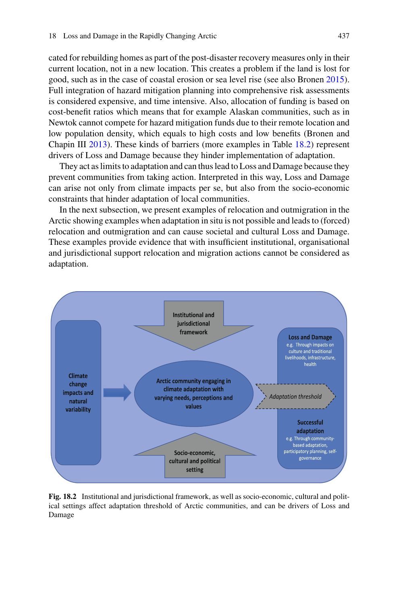cated for rebuilding homes as part of the post-disaster recovery measures only in their current location, not in a new location. This creates a problem if the land is lost for good, such as in the case of coastal erosion or sea level rise (see also Bronen [2015\)](#page-19-4). Full integration of hazard mitigation planning into comprehensive risk assessments is considered expensive, and time intensive. Also, allocation of funding is based on cost-benefit ratios which means that for example Alaskan communities, such as in Newtok cannot compete for hazard mitigation funds due to their remote location and low population density, which equals to high costs and low benefits (Bronen and Chapin III [2013\)](#page-19-5). These kinds of barriers (more examples in Table [18.2\)](#page-13-0) represent drivers of Loss and Damage because they hinder implementation of adaptation.

They act as limits to adaptation and can thus lead to Loss and Damage because they prevent communities from taking action. Interpreted in this way, Loss and Damage can arise not only from climate impacts per se, but also from the socio-economic constraints that hinder adaptation of local communities.

In the next subsection, we present examples of relocation and outmigration in the Arctic showing examples when adaptation in situ is not possible and leads to (forced) relocation and outmigration and can cause societal and cultural Loss and Damage. These examples provide evidence that with insufficient institutional, organisational and jurisdictional support relocation and migration actions cannot be considered as adaptation.



<span id="page-12-0"></span>**Fig. 18.2** Institutional and jurisdictional framework, as well as socio-economic, cultural and political settings affect adaptation threshold of Arctic communities, and can be drivers of Loss and Damage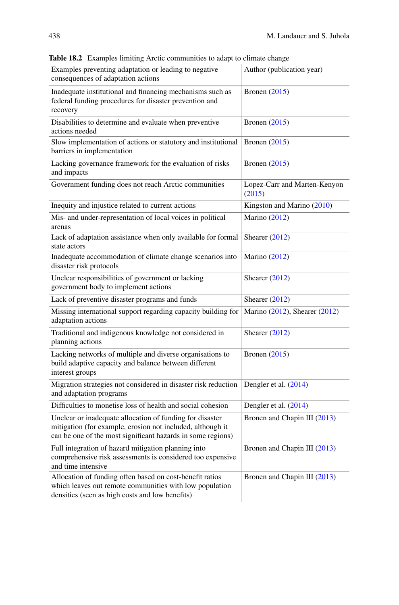<span id="page-13-0"></span>

| <b>Table 16.2</b> Examples mining Arctic communities to adapt to climate change                                                                                                       |                                        |  |  |
|---------------------------------------------------------------------------------------------------------------------------------------------------------------------------------------|----------------------------------------|--|--|
| Examples preventing adaptation or leading to negative<br>consequences of adaptation actions                                                                                           | Author (publication year)              |  |  |
| Inadequate institutional and financing mechanisms such as<br>federal funding procedures for disaster prevention and<br>recovery                                                       | Bronen $(2015)$                        |  |  |
| Disabilities to determine and evaluate when preventive<br>actions needed                                                                                                              | Bronen $(2015)$                        |  |  |
| Slow implementation of actions or statutory and institutional<br>barriers in implementation                                                                                           | Bronen $(2015)$                        |  |  |
| Lacking governance framework for the evaluation of risks<br>and impacts                                                                                                               | Bronen $(2015)$                        |  |  |
| Government funding does not reach Arctic communities                                                                                                                                  | Lopez-Carr and Marten-Kenyon<br>(2015) |  |  |
| Inequity and injustice related to current actions                                                                                                                                     | Kingston and Marino (2010)             |  |  |
| Mis- and under-representation of local voices in political<br>arenas                                                                                                                  | Marino $(2012)$                        |  |  |
| Lack of adaptation assistance when only available for formal<br>state actors                                                                                                          | Shearer $(2012)$                       |  |  |
| Inadequate accommodation of climate change scenarios into<br>disaster risk protocols                                                                                                  | Marino (2012)                          |  |  |
| Unclear responsibilities of government or lacking<br>government body to implement actions                                                                                             | Shearer $(2012)$                       |  |  |
| Lack of preventive disaster programs and funds                                                                                                                                        | Shearer $(2012)$                       |  |  |
| Missing international support regarding capacity building for<br>adaptation actions                                                                                                   | Marino (2012), Shearer (2012)          |  |  |
| Traditional and indigenous knowledge not considered in<br>planning actions                                                                                                            | Shearer $(2012)$                       |  |  |
| Lacking networks of multiple and diverse organisations to<br>build adaptive capacity and balance between different<br>interest groups                                                 | Bronen $(2015)$                        |  |  |
| Migration strategies not considered in disaster risk reduction<br>and adaptation programs                                                                                             | Dengler et al. (2014)                  |  |  |
| Difficulties to monetise loss of health and social cohesion                                                                                                                           | Dengler et al. (2014)                  |  |  |
| Unclear or inadequate allocation of funding for disaster<br>mitigation (for example, erosion not included, although it<br>can be one of the most significant hazards in some regions) | Bronen and Chapin III (2013)           |  |  |
| Full integration of hazard mitigation planning into<br>comprehensive risk assessments is considered too expensive<br>and time intensive                                               | Bronen and Chapin III (2013)           |  |  |
| Allocation of funding often based on cost-benefit ratios<br>which leaves out remote communities with low population<br>densities (seen as high costs and low benefits)                | Bronen and Chapin III (2013)           |  |  |

**Table 18.2** Examples limiting Arctic communities to adapt to climate change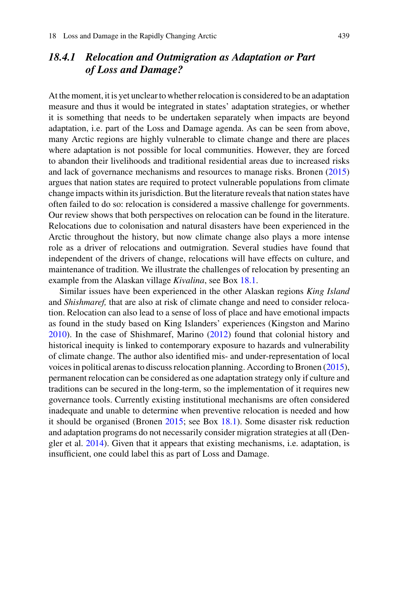# *18.4.1 Relocation and Outmigration as Adaptation or Part of Loss and Damage?*

At the moment, it is yet unclear to whether relocation is considered to be an adaptation measure and thus it would be integrated in states' adaptation strategies, or whether it is something that needs to be undertaken separately when impacts are beyond adaptation, i.e. part of the Loss and Damage agenda. As can be seen from above, many Arctic regions are highly vulnerable to climate change and there are places where adaptation is not possible for local communities. However, they are forced to abandon their livelihoods and traditional residential areas due to increased risks and lack of governance mechanisms and resources to manage risks. Bronen [\(2015\)](#page-19-4) argues that nation states are required to protect vulnerable populations from climate change impacts within its jurisdiction. But the literature reveals that nation states have often failed to do so: relocation is considered a massive challenge for governments. Our review shows that both perspectives on relocation can be found in the literature. Relocations due to colonisation and natural disasters have been experienced in the Arctic throughout the history, but now climate change also plays a more intense role as a driver of relocations and outmigration. Several studies have found that independent of the drivers of change, relocations will have effects on culture, and maintenance of tradition. We illustrate the challenges of relocation by presenting an example from the Alaskan village *Kivalina*, see Box [18.1.](#page-15-0)

Similar issues have been experienced in the other Alaskan regions *King Island* and *Shishmaref,* that are also at risk of climate change and need to consider relocation. Relocation can also lead to a sense of loss of place and have emotional impacts as found in the study based on King Islanders' experiences (Kingston and Marino [2010\)](#page-21-19). In the case of Shishmaref, Marino [\(2012\)](#page-21-6) found that colonial history and historical inequity is linked to contemporary exposure to hazards and vulnerability of climate change. The author also identified mis- and under-representation of local voices in political arenas to discuss relocation planning. According to Bronen [\(2015\)](#page-19-4), permanent relocation can be considered as one adaptation strategy only if culture and traditions can be secured in the long-term, so the implementation of it requires new governance tools. Currently existing institutional mechanisms are often considered inadequate and unable to determine when preventive relocation is needed and how it should be organised (Bronen [2015;](#page-19-4) see Box [18.1\)](#page-15-0). Some disaster risk reduction and adaptation programs do not necessarily consider migration strategies at all (Dengler et al. [2014\)](#page-20-10). Given that it appears that existing mechanisms, i.e. adaptation, is insufficient, one could label this as part of Loss and Damage.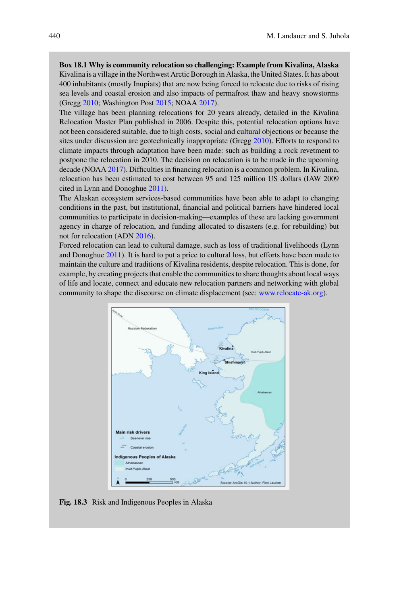<span id="page-15-0"></span>**Box 18.1 Why is community relocation so challenging: Example from Kivalina, Alaska** Kivalina is a village in the Northwest Arctic Borough in Alaska, the United States. It has about 400 inhabitants (mostly Inupiats) that are now being forced to relocate due to risks of rising sea levels and coastal erosion and also impacts of permafrost thaw and heavy snowstorms (Gregg [2010;](#page-20-21) Washington Post [2015;](#page-22-11) NOAA [2017\)](#page-21-20).

The village has been planning relocations for 20 years already, detailed in the Kivalina Relocation Master Plan published in 2006. Despite this, potential relocation options have not been considered suitable, due to high costs, social and cultural objections or because the sites under discussion are geotechnically inappropriate (Gregg [2010\)](#page-20-21). Efforts to respond to climate impacts through adaptation have been made: such as building a rock revetment to postpone the relocation in 2010. The decision on relocation is to be made in the upcoming decade (NOAA [2017\)](#page-21-20). Difficulties in financing relocation is a common problem. In Kivalina, relocation has been estimated to cost between 95 and 125 million US dollars (IAW 2009 cited in Lynn and Donoghue [2011\)](#page-21-21).

The Alaskan ecosystem services-based communities have been able to adapt to changing conditions in the past, but institutional, financial and political barriers have hindered local communities to participate in decision-making—examples of these are lacking government agency in charge of relocation, and funding allocated to disasters (e.g. for rebuilding) but not for relocation (ADN [2016\)](#page-19-11).

Forced relocation can lead to cultural damage, such as loss of traditional livelihoods (Lynn and Donoghue [2011\)](#page-21-21). It is hard to put a price to cultural loss, but efforts have been made to maintain the culture and traditions of Kivalina residents, despite relocation. This is done, for example, by creating projects that enable the communities to share thoughts about local ways of life and locate, connect and educate new relocation partners and networking with global community to shape the discourse on climate displacement (see: [www.relocate-ak.org\)](http://www.relocate-ak.org).



**Fig. 18.3** Risk and Indigenous Peoples in Alaska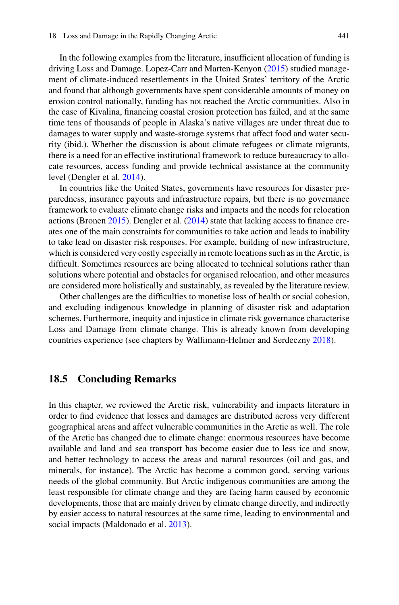In the following examples from the literature, insufficient allocation of funding is driving Loss and Damage. Lopez-Carr and Marten-Kenyon [\(2015\)](#page-21-7) studied management of climate-induced resettlements in the United States' territory of the Arctic and found that although governments have spent considerable amounts of money on erosion control nationally, funding has not reached the Arctic communities. Also in the case of Kivalina, financing coastal erosion protection has failed, and at the same time tens of thousands of people in Alaska's native villages are under threat due to damages to water supply and waste-storage systems that affect food and water security (ibid.). Whether the discussion is about climate refugees or climate migrants, there is a need for an effective institutional framework to reduce bureaucracy to allocate resources, access funding and provide technical assistance at the community level (Dengler et al. [2014\)](#page-20-10).

In countries like the United States, governments have resources for disaster preparedness, insurance payouts and infrastructure repairs, but there is no governance framework to evaluate climate change risks and impacts and the needs for relocation actions (Bronen [2015\)](#page-19-4). Dengler et al. [\(2014\)](#page-20-10) state that lacking access to finance creates one of the main constraints for communities to take action and leads to inability to take lead on disaster risk responses. For example, building of new infrastructure, which is considered very costly especially in remote locations such as in the Arctic, is difficult. Sometimes resources are being allocated to technical solutions rather than solutions where potential and obstacles for organised relocation, and other measures are considered more holistically and sustainably, as revealed by the literature review.

Other challenges are the difficulties to monetise loss of health or social cohesion, and excluding indigenous knowledge in planning of disaster risk and adaptation schemes. Furthermore, inequity and injustice in climate risk governance characterise Loss and Damage from climate change. This is already known from developing countries experience (see chapters by Wallimann-Helmer and Serdeczny [2018\)](#page-22-12).

### **18.5 Concluding Remarks**

In this chapter, we reviewed the Arctic risk, vulnerability and impacts literature in order to find evidence that losses and damages are distributed across very different geographical areas and affect vulnerable communities in the Arctic as well. The role of the Arctic has changed due to climate change: enormous resources have become available and land and sea transport has become easier due to less ice and snow, and better technology to access the areas and natural resources (oil and gas, and minerals, for instance). The Arctic has become a common good, serving various needs of the global community. But Arctic indigenous communities are among the least responsible for climate change and they are facing harm caused by economic developments, those that are mainly driven by climate change directly, and indirectly by easier access to natural resources at the same time, leading to environmental and social impacts (Maldonado et al. [2013\)](#page-21-4).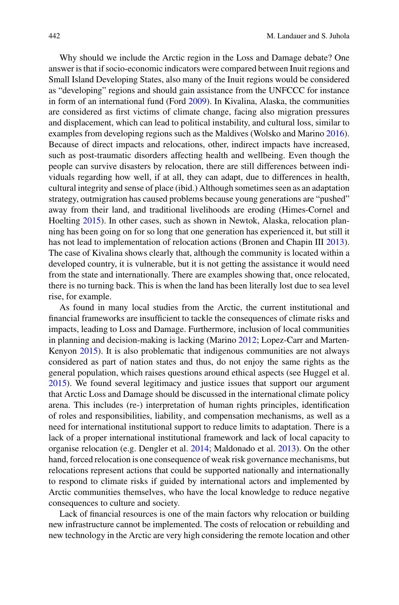Why should we include the Arctic region in the Loss and Damage debate? One answer is that if socio-economic indicators were compared between Inuit regions and Small Island Developing States, also many of the Inuit regions would be considered as "developing" regions and should gain assistance from the UNFCCC for instance in form of an international fund (Ford [2009\)](#page-20-8). In Kivalina, Alaska, the communities are considered as first victims of climate change, facing also migration pressures and displacement, which can lead to political instability, and cultural loss, similar to examples from developing regions such as the Maldives (Wolsko and Marino [2016\)](#page-22-1). Because of direct impacts and relocations, other, indirect impacts have increased, such as post-traumatic disorders affecting health and wellbeing. Even though the people can survive disasters by relocation, there are still differences between individuals regarding how well, if at all, they can adapt, due to differences in health, cultural integrity and sense of place (ibid.) Although sometimes seen as an adaptation strategy, outmigration has caused problems because young generations are "pushed" away from their land, and traditional livelihoods are eroding (Himes-Cornel and Hoelting [2015\)](#page-20-6). In other cases, such as shown in Newtok, Alaska, relocation planning has been going on for so long that one generation has experienced it, but still it has not lead to implementation of relocation actions (Bronen and Chapin III [2013\)](#page-19-5). The case of Kivalina shows clearly that, although the community is located within a developed country, it is vulnerable, but it is not getting the assistance it would need from the state and internationally. There are examples showing that, once relocated, there is no turning back. This is when the land has been literally lost due to sea level rise, for example.

As found in many local studies from the Arctic, the current institutional and financial frameworks are insufficient to tackle the consequences of climate risks and impacts, leading to Loss and Damage. Furthermore, inclusion of local communities in planning and decision-making is lacking (Marino [2012;](#page-21-6) Lopez-Carr and Marten-Kenyon [2015\)](#page-21-7). It is also problematic that indigenous communities are not always considered as part of nation states and thus, do not enjoy the same rights as the general population, which raises questions around ethical aspects (see Huggel et al. [2015\)](#page-20-1). We found several legitimacy and justice issues that support our argument that Arctic Loss and Damage should be discussed in the international climate policy arena. This includes (re-) interpretation of human rights principles, identification of roles and responsibilities, liability, and compensation mechanisms, as well as a need for international institutional support to reduce limits to adaptation. There is a lack of a proper international institutional framework and lack of local capacity to organise relocation (e.g. Dengler et al. [2014;](#page-20-10) Maldonado et al. [2013\)](#page-21-4). On the other hand, forced relocation is one consequence of weak risk governance mechanisms, but relocations represent actions that could be supported nationally and internationally to respond to climate risks if guided by international actors and implemented by Arctic communities themselves, who have the local knowledge to reduce negative consequences to culture and society.

Lack of financial resources is one of the main factors why relocation or building new infrastructure cannot be implemented. The costs of relocation or rebuilding and new technology in the Arctic are very high considering the remote location and other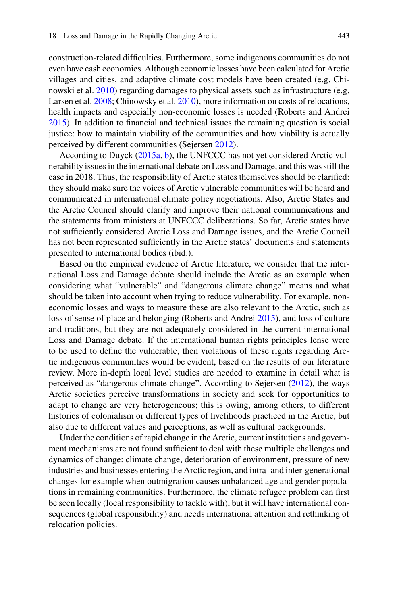construction-related difficulties. Furthermore, some indigenous communities do not even have cash economies. Although economic losses have been calculated for Arctic villages and cities, and adaptive climate cost models have been created (e.g. Chinowski et al. [2010\)](#page-19-2) regarding damages to physical assets such as infrastructure (e.g. Larsen et al. [2008;](#page-21-12) Chinowsky et al. [2010\)](#page-19-2), more information on costs of relocations, health impacts and especially non-economic losses is needed (Roberts and Andrei [2015\)](#page-21-17). In addition to financial and technical issues the remaining question is social justice: how to maintain viability of the communities and how viability is actually perceived by different communities (Sejersen [2012\)](#page-21-0).

According to Duyck [\(2015a,](#page-20-4) [b\)](#page-20-5), the UNFCCC has not yet considered Arctic vulnerability issues in the international debate on Loss and Damage, and this was still the case in 2018. Thus, the responsibility of Arctic states themselves should be clarified: they should make sure the voices of Arctic vulnerable communities will be heard and communicated in international climate policy negotiations. Also, Arctic States and the Arctic Council should clarify and improve their national communications and the statements from ministers at UNFCCC deliberations. So far, Arctic states have not sufficiently considered Arctic Loss and Damage issues, and the Arctic Council has not been represented sufficiently in the Arctic states' documents and statements presented to international bodies (ibid.).

Based on the empirical evidence of Arctic literature, we consider that the international Loss and Damage debate should include the Arctic as an example when considering what "vulnerable" and "dangerous climate change" means and what should be taken into account when trying to reduce vulnerability. For example, noneconomic losses and ways to measure these are also relevant to the Arctic, such as loss of sense of place and belonging (Roberts and Andrei [2015\)](#page-21-17), and loss of culture and traditions, but they are not adequately considered in the current international Loss and Damage debate. If the international human rights principles lense were to be used to define the vulnerable, then violations of these rights regarding Arctic indigenous communities would be evident, based on the results of our literature review. More in-depth local level studies are needed to examine in detail what is perceived as "dangerous climate change". According to Sejersen [\(2012\)](#page-21-0), the ways Arctic societies perceive transformations in society and seek for opportunities to adapt to change are very heterogeneous; this is owing, among others, to different histories of colonialism or different types of livelihoods practiced in the Arctic, but also due to different values and perceptions, as well as cultural backgrounds.

Under the conditions of rapid change in the Arctic, current institutions and government mechanisms are not found sufficient to deal with these multiple challenges and dynamics of change: climate change, deterioration of environment, pressure of new industries and businesses entering the Arctic region, and intra- and inter-generational changes for example when outmigration causes unbalanced age and gender populations in remaining communities. Furthermore, the climate refugee problem can first be seen locally (local responsibility to tackle with), but it will have international consequences (global responsibility) and needs international attention and rethinking of relocation policies.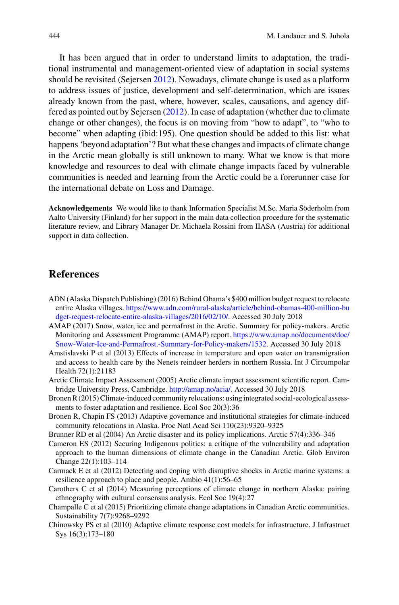It has been argued that in order to understand limits to adaptation, the traditional instrumental and management-oriented view of adaptation in social systems should be revisited (Sejersen [2012\)](#page-21-0). Nowadays, climate change is used as a platform to address issues of justice, development and self-determination, which are issues already known from the past, where, however, scales, causations, and agency differed as pointed out by Sejersen [\(2012\)](#page-21-0). In case of adaptation (whether due to climate change or other changes), the focus is on moving from "how to adapt", to "who to become" when adapting (ibid:195). One question should be added to this list: what happens 'beyond adaptation'? But what these changes and impacts of climate change in the Arctic mean globally is still unknown to many. What we know is that more knowledge and resources to deal with climate change impacts faced by vulnerable communities is needed and learning from the Arctic could be a forerunner case for the international debate on Loss and Damage.

**Acknowledgements** We would like to thank Information Specialist M.Sc. Maria Söderholm from Aalto University (Finland) for her support in the main data collection procedure for the systematic literature review, and Library Manager Dr. Michaela Rossini from IIASA (Austria) for additional support in data collection.

## **References**

- <span id="page-19-11"></span>ADN (Alaska Dispatch Publishing) (2016) Behind Obama's \$400 million budget request to relocate entire Alaska villages. https://www.adn.com/rural-alaska/article/behind-obamas-400-million-bu [dget-request-relocate-entire-alaska-villages/2016/02/10/. Accessed 30 July 2018](https://www.adn.com/rural-alaska/article/behind-obamas-400-million-budget-request-relocate-entire-alaska-villages/2016/02/10/)
- <span id="page-19-1"></span>AMAP (2017) Snow, water, ice and permafrost in the Arctic. Summary for policy-makers. Arctic Monitoring and Assessment Programme (AMAP) report. https://www.amap.no/documents/doc/ [Snow-Water-Ice-and-Permafrost.-Summary-for-Policy-makers/1532. Accessed 30 July 2018](https://www.amap.no/documents/doc/Snow-Water-Ice-and-Permafrost.-Summary-for-Policy-makers/1532)
- <span id="page-19-6"></span>Amstislavski P et al (2013) Effects of increase in temperature and open water on transmigration and access to health care by the Nenets reindeer herders in northern Russia. Int J Circumpolar Health 72(1):21183
- <span id="page-19-0"></span>Arctic Climate Impact Assessment (2005) Arctic climate impact assessment scientific report. Cambridge University Press, Cambridge. [http://amap.no/acia/.](http://amap.no/acia/) Accessed 30 July 2018
- <span id="page-19-4"></span>Bronen R (2015) Climate-induced community relocations: using integrated social-ecological assessments to foster adaptation and resilience. Ecol Soc 20(3):36
- <span id="page-19-5"></span>Bronen R, Chapin FS (2013) Adaptive governance and institutional strategies for climate-induced community relocations in Alaska. Proc Natl Acad Sci 110(23):9320–9325
- <span id="page-19-7"></span>Brunner RD et al (2004) An Arctic disaster and its policy implications. Arctic 57(4):336–346
- <span id="page-19-9"></span>Cameron ES (2012) Securing Indigenous politics: a critique of the vulnerability and adaptation approach to the human dimensions of climate change in the Canadian Arctic. Glob Environ Change 22(1):103–114
- <span id="page-19-3"></span>Carmack E et al (2012) Detecting and coping with disruptive shocks in Arctic marine systems: a resilience approach to place and people. Ambio 41(1):56–65
- <span id="page-19-8"></span>Carothers C et al (2014) Measuring perceptions of climate change in northern Alaska: pairing ethnography with cultural consensus analysis. Ecol Soc 19(4):27
- <span id="page-19-10"></span>Champalle C et al (2015) Prioritizing climate change adaptations in Canadian Arctic communities. Sustainability 7(7):9268–9292
- <span id="page-19-2"></span>Chinowsky PS et al (2010) Adaptive climate response cost models for infrastructure. J Infrastruct Sys 16(3):173–180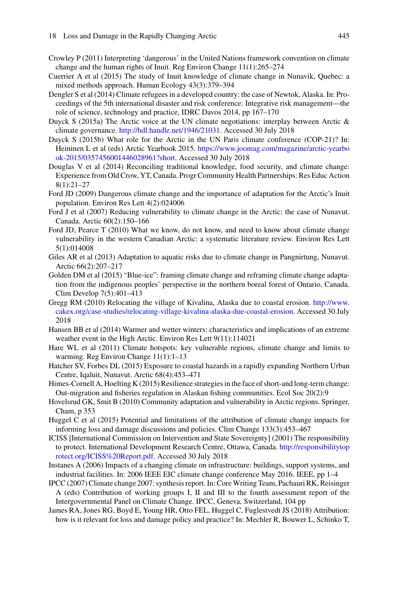- <span id="page-20-0"></span>Crowley P (2011) Interpreting 'dangerous' in the United Nations framework convention on climate change and the human rights of Inuit. Reg Environ Change 11(1):265–274
- <span id="page-20-17"></span>Cuerrier A et al (2015) The study of Inuit knowledge of climate change in Nunavik, Quebec: a mixed methods approach. Human Ecology 43(3):379–394
- <span id="page-20-10"></span>Dengler S et al (2014) Climate refugees in a developed country: the case of Newtok, Alaska. In: Proceedings of the 5th international disaster and risk conference: Integrative risk management—the role of science, technology and practice, IDRC Davos 2014, pp 167–170
- <span id="page-20-4"></span>Duyck S (2015a) The Arctic voice at the UN climate negotiations: interplay between Arctic & climate governance. [http://hdl.handle.net/1946/21031.](http://hdl.handle.net/1946/21031) Accessed 30 July 2018
- <span id="page-20-5"></span>Duyck S (2015b) What role for the Arctic in the UN Paris climate conference (COP-21)? In: Heininen L et al (eds) Arctic Yearbook 2015. https://www.joomag.com/magazine/arctic-yearbo [ok-2015/0357456001446028961?short. Accessed 30 July 2018](https://www.joomag.com/magazine/arctic-yearbook-2015/0357456001446028961%3fshort)
- <span id="page-20-16"></span>Douglas V et al (2014) Reconciling traditional knowledge, food security, and climate change: Experience from Old Crow, YT, Canada. Progr Community Health Partnerships: Res Educ Action 8(1):21–27
- <span id="page-20-8"></span>Ford JD (2009) Dangerous climate change and the importance of adaptation for the Arctic's Inuit population. Environ Res Lett 4(2):024006
- <span id="page-20-20"></span>Ford J et al (2007) Reducing vulnerability to climate change in the Arctic: the case of Nunavut. Canada. Arctic 60(2):150–166
- <span id="page-20-15"></span>Ford JD, Pearce T (2010) What we know, do not know, and need to know about climate change vulnerability in the western Canadian Arctic: a systematic literature review. Environ Res Lett 5(1):014008
- <span id="page-20-12"></span>Giles AR et al (2013) Adaptation to aquatic risks due to climate change in Pangnirtung, Nunavut. Arctic 66(2):207–217
- <span id="page-20-18"></span>Golden DM et al (2015) "Blue-ice": framing climate change and reframing climate change adaptation from the indigenous peoples' perspective in the northern boreal forest of Ontario, Canada. Clim Develop 7(5):401–413
- <span id="page-20-21"></span>Gregg RM (2010) Relocating the village of Kivalina, Alaska due to coastal erosion. http://www. [cakex.org/case-studies/relocating-village-kivalina-alaska-due-coastal-erosion. Accessed 30 July](http://www.cakex.org/case-studies/relocating-village-kivalina-alaska-due-coastal-erosion) 2018
- <span id="page-20-11"></span>Hansen BB et al (2014) Warmer and wetter winters: characteristics and implications of an extreme weather event in the High Arctic. Environ Res Lett 9(11):114021
- <span id="page-20-3"></span>Hare WL et al (2011) Climate hotspots: key vulnerable regions, climate change and limits to warming. Reg Environ Change 11(1):1–13
- <span id="page-20-14"></span>Hatcher SV, Forbes DL (2015) Exposure to coastal hazards in a rapidly expanding Northern Urban Centre, Iqaluit, Nunavut. Arctic 68(4):453–471
- <span id="page-20-6"></span>Himes-Cornell A, Hoelting K (2015) Resilience strategies in the face of short-and long-term change: Out-migration and fisheries regulation in Alaskan fishing communities. Ecol Soc 20(2):9
- <span id="page-20-19"></span>Hovelsrud GK, Smit B (2010) Community adaptation and vulnerability in Arctic regions. Springer, Cham, p 353
- <span id="page-20-1"></span>Huggel C et al (2015) Potential and limitations of the attribution of climate change impacts for informing loss and damage discussions and policies. Clim Change 133(3):453–467
- <span id="page-20-9"></span>ICISS [International Commission on Intervention and State Sovereignty] (2001) The responsibility [to protect. International Development Research Centre, Ottawa, Canada.](http://responsibilitytoprotect.org/ICISS%20Report.pdf) http://responsibilitytop rotect.org/ICISS%20Report.pdf. Accessed 30 July 2018
- <span id="page-20-13"></span>Instanes A (2006) Impacts of a changing climate on infrastructure: buildings, support systems, and industrial facilities. In: 2006 IEEE EIC climate change conference May 2016. IEEE, pp 1–4
- <span id="page-20-2"></span>IPCC (2007) Climate change 2007: synthesis report. In: Core Writing Team, Pachauri RK, Reisinger A (eds) Contribution of working groups I, II and III to the fourth assessment report of the Intergovernmental Panel on Climate Change. IPCC, Geneva, Switzerland, 104 pp
- <span id="page-20-7"></span>James RA, Jones RG, Boyd E, Young HR, Otto FEL, Huggel C, Fuglestvedt JS (2018) Attribution: how is it relevant for loss and damage policy and practice? In: Mechler R, Bouwer L, Schinko T,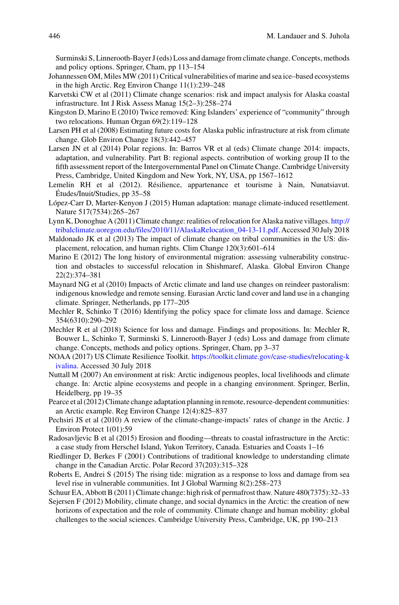Surminski S, Linnerooth-Bayer J (eds) Loss and damage from climate change. Concepts, methods and policy options. Springer, Cham, pp 113–154

- <span id="page-21-8"></span>Johannessen OM, Miles MW (2011) Critical vulnerabilities of marine and sea ice–based ecosystems in the high Arctic. Reg Environ Change 11(1):239–248
- <span id="page-21-13"></span>Karvetski CW et al (2011) Climate change scenarios: risk and impact analysis for Alaska coastal infrastructure. Int J Risk Assess Manag 15(2–3):258–274
- <span id="page-21-19"></span>Kingston D, Marino E (2010) Twice removed: King Islanders' experience of "community" through two relocations. Human Organ 69(2):119–128
- <span id="page-21-12"></span>Larsen PH et al (2008) Estimating future costs for Alaska public infrastructure at risk from climate change. Glob Environ Change 18(3):442–457
- <span id="page-21-5"></span>Larsen JN et al (2014) Polar regions. In: Barros VR et al (eds) Climate change 2014: impacts, adaptation, and vulnerability. Part B: regional aspects. contribution of working group II to the fifth assessment report of the Intergovernmental Panel on Climate Change. Cambridge University Press, Cambridge, United Kingdom and New York, NY, USA, pp 1567–1612
- <span id="page-21-10"></span>Lemelin RH et al (2012). Résilience, appartenance et tourisme à Nain, Nunatsiavut. Études/Inuit/Studies, pp 35–58
- <span id="page-21-7"></span>López-Carr D, Marter-Kenyon J (2015) Human adaptation: manage climate-induced resettlement. Nature 517(7534):265–267
- <span id="page-21-21"></span>Lynn K, Donoghue A (2011) Climate change: realities of relocation for Alaska native villages. http:// [tribalclimate.uoregon.edu/files/2010/11/AlaskaRelocation\\_04-13-11.pdf. Accessed 30 July 2018](http://tribalclimate.uoregon.edu/files/2010/11/AlaskaRelocation_04-13-11.pdf)
- <span id="page-21-4"></span>Maldonado JK et al (2013) The impact of climate change on tribal communities in the US: displacement, relocation, and human rights. Clim Change 120(3):601–614
- <span id="page-21-6"></span>Marino E (2012) The long history of environmental migration: assessing vulnerability construction and obstacles to successful relocation in Shishmaref, Alaska. Global Environ Change 22(2):374–381
- <span id="page-21-15"></span>Maynard NG et al (2010) Impacts of Arctic climate and land use changes on reindeer pastoralism: indigenous knowledge and remote sensing. Eurasian Arctic land cover and land use in a changing climate. Springer, Netherlands, pp 177–205
- <span id="page-21-1"></span>Mechler R, Schinko T (2016) Identifying the policy space for climate loss and damage. Science 354(6310):290–292
- <span id="page-21-2"></span>Mechler R et al (2018) Science for loss and damage. Findings and propositions. In: Mechler R, Bouwer L, Schinko T, Surminski S, Linnerooth-Bayer J (eds) Loss and damage from climate change. Concepts, methods and policy options. Springer, Cham, pp 3–37
- <span id="page-21-20"></span>NOAA (2017) US Climate Resilience Toolkit. [https://toolkit.climate.gov/case-studies/relocating-k](https://toolkit.climate.gov/case-studies/relocating-kivalina) ivalina. Accessed 30 July 2018
- <span id="page-21-18"></span>Nuttall M (2007) An environment at risk: Arctic indigenous peoples, local livelihoods and climate change. In: Arctic alpine ecosystems and people in a changing environment. Springer, Berlin, Heidelberg, pp 19–35
- <span id="page-21-16"></span>Pearce et al (2012) Climate change adaptation planning in remote, resource-dependent communities: an Arctic example. Reg Environ Change 12(4):825–837
- <span id="page-21-3"></span>Pechsiri JS et al (2010) A review of the climate-change-impacts' rates of change in the Arctic. J Environ Protect 1(01):59
- <span id="page-21-11"></span>Radosavljevic B et al (2015) Erosion and flooding—threats to coastal infrastructure in the Arctic: a case study from Herschel Island, Yukon Territory, Canada. Estuaries and Coasts 1–16
- <span id="page-21-14"></span>Riedlinger D, Berkes F (2001) Contributions of traditional knowledge to understanding climate change in the Canadian Arctic. Polar Record 37(203):315–328
- <span id="page-21-17"></span>Roberts E, Andrei S (2015) The rising tide: migration as a response to loss and damage from sea level rise in vulnerable communities. Int J Global Warming 8(2):258–273
- <span id="page-21-9"></span>Schuur EA, Abbott B (2011) Climate change: high risk of permafrost thaw. Nature 480(7375):32–33
- <span id="page-21-0"></span>Sejersen F (2012) Mobility, climate change, and social dynamics in the Arctic: the creation of new horizons of expectation and the role of community. Climate change and human mobility: global challenges to the social sciences. Cambridge University Press, Cambridge, UK, pp 190–213